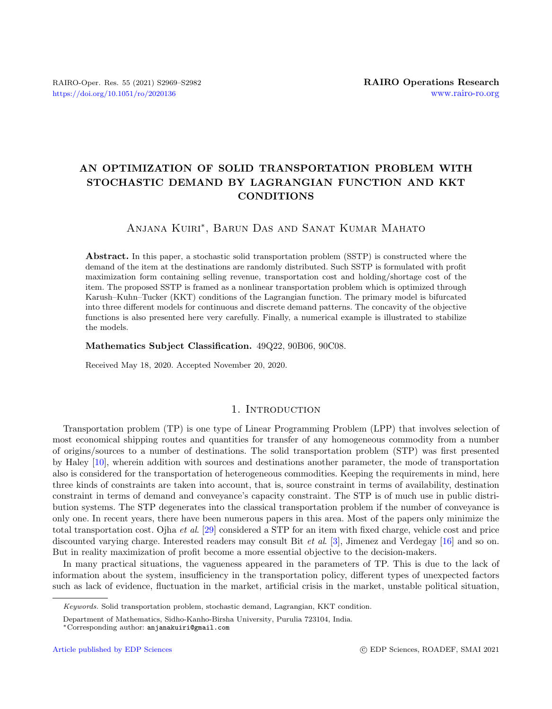# AN OPTIMIZATION OF SOLID TRANSPORTATION PROBLEM WITH STOCHASTIC DEMAND BY LAGRANGIAN FUNCTION AND KKT CONDITIONS

# Anjana Kuiri<sup>∗</sup> , Barun Das and Sanat Kumar Mahato

Abstract. In this paper, a stochastic solid transportation problem (SSTP) is constructed where the demand of the item at the destinations are randomly distributed. Such SSTP is formulated with profit maximization form containing selling revenue, transportation cost and holding/shortage cost of the item. The proposed SSTP is framed as a nonlinear transportation problem which is optimized through Karush–Kuhn–Tucker (KKT) conditions of the Lagrangian function. The primary model is bifurcated into three different models for continuous and discrete demand patterns. The concavity of the objective functions is also presented here very carefully. Finally, a numerical example is illustrated to stabilize the models.

# Mathematics Subject Classification. 49Q22, 90B06, 90C08.

Received May 18, 2020. Accepted November 20, 2020.

# 1. INTRODUCTION

Transportation problem (TP) is one type of Linear Programming Problem (LPP) that involves selection of most economical shipping routes and quantities for transfer of any homogeneous commodity from a number of origins/sources to a number of destinations. The solid transportation problem (STP) was first presented by Haley [\[10\]](#page-12-0), wherein addition with sources and destinations another parameter, the mode of transportation also is considered for the transportation of heterogeneous commodities. Keeping the requirements in mind, here three kinds of constraints are taken into account, that is, source constraint in terms of availability, destination constraint in terms of demand and conveyance's capacity constraint. The STP is of much use in public distribution systems. The STP degenerates into the classical transportation problem if the number of conveyance is only one. In recent years, there have been numerous papers in this area. Most of the papers only minimize the total transportation cost. Ojha et al. [\[29\]](#page-12-1) considered a STP for an item with fixed charge, vehicle cost and price discounted varying charge. Interested readers may consult Bit et al. [\[3\]](#page-12-2), Jimenez and Verdegay [\[16\]](#page-12-3) and so on. But in reality maximization of profit become a more essential objective to the decision-makers.

In many practical situations, the vagueness appeared in the parameters of TP. This is due to the lack of information about the system, insufficiency in the transportation policy, different types of unexpected factors such as lack of evidence, fluctuation in the market, artificial crisis in the market, unstable political situation,

Keywords. Solid transportation problem, stochastic demand, Lagrangian, KKT condition.

Department of Mathematics, Sidho-Kanho-Birsha University, Purulia 723104, India.

<sup>∗</sup>Corresponding author: [anjanakuiri@gmail.com](mailto:anjanakuiri@gmail.com)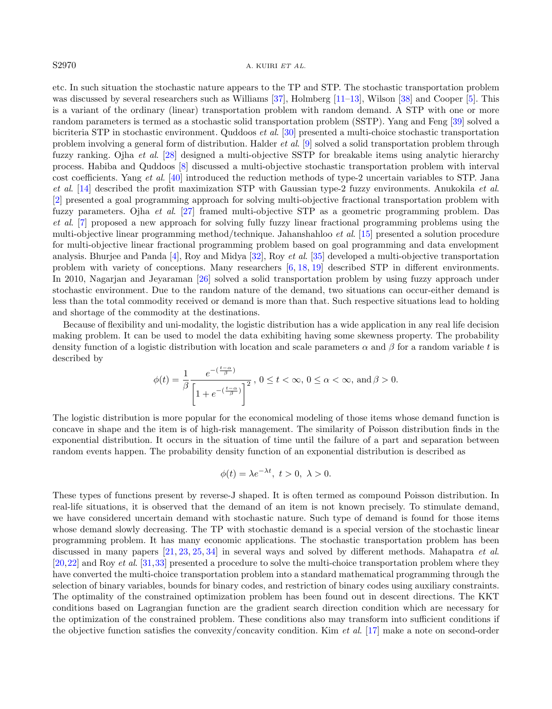## $S2970$  A. KUIRI ET AL.

etc. In such situation the stochastic nature appears to the TP and STP. The stochastic transportation problem was discussed by several researchers such as Williams [\[37\]](#page-13-0), Holmberg [\[11–](#page-12-4)[13\]](#page-12-5), Wilson [\[38\]](#page-13-1) and Cooper [\[5\]](#page-12-6). This is a variant of the ordinary (linear) transportation problem with random demand. A STP with one or more random parameters is termed as a stochastic solid transportation problem (SSTP). Yang and Feng [\[39\]](#page-13-2) solved a bicriteria STP in stochastic environment. Quddoos et al. [\[30\]](#page-12-7) presented a multi-choice stochastic transportation problem involving a general form of distribution. Halder et al. [\[9\]](#page-12-8) solved a solid transportation problem through fuzzy ranking. Ojha et al. [\[28\]](#page-12-9) designed a multi-objective SSTP for breakable items using analytic hierarchy process. Habiba and Quddoos [\[8\]](#page-12-10) discussed a multi-objective stochastic transportation problem with interval cost coefficients. Yang et al. [\[40\]](#page-13-3) introduced the reduction methods of type-2 uncertain variables to STP. Jana et al. [\[14\]](#page-12-11) described the profit maximization STP with Gaussian type-2 fuzzy environments. Anukokila et al. [\[2\]](#page-12-12) presented a goal programming approach for solving multi-objective fractional transportation problem with fuzzy parameters. Ojha et al. [\[27\]](#page-12-13) framed multi-objective STP as a geometric programming problem. Das et al. [\[7\]](#page-12-14) proposed a new approach for solving fully fuzzy linear fractional programming problems using the multi-objective linear programming method/technique. Jahanshahloo et al. [\[15\]](#page-12-15) presented a solution procedure for multi-objective linear fractional programming problem based on goal programming and data envelopment analysis. Bhurjee and Panda [\[4\]](#page-12-16), Roy and Midya [\[32\]](#page-12-17), Roy et al. [\[35\]](#page-13-4) developed a multi-objective transportation problem with variety of conceptions. Many researchers [\[6,](#page-12-18) [18,](#page-12-19) [19\]](#page-12-20) described STP in different environments. In 2010, Nagarjan and Jeyaraman [\[26\]](#page-12-21) solved a solid transportation problem by using fuzzy approach under stochastic environment. Due to the random nature of the demand, two situations can occur-either demand is less than the total commodity received or demand is more than that. Such respective situations lead to holding and shortage of the commodity at the destinations.

Because of flexibility and uni-modality, the logistic distribution has a wide application in any real life decision making problem. It can be used to model the data exhibiting having some skewness property. The probability density function of a logistic distribution with location and scale parameters  $\alpha$  and  $\beta$  for a random variable t is described by

$$
\phi(t) = \frac{1}{\beta} \frac{e^{-\left(\frac{t-\alpha}{\beta}\right)}}{\left[1 + e^{-\left(\frac{t-\alpha}{\beta}\right)}\right]^2}, \ 0 \le t < \infty, \ 0 \le \alpha < \infty, \text{ and } \beta > 0.
$$

The logistic distribution is more popular for the economical modeling of those items whose demand function is concave in shape and the item is of high-risk management. The similarity of Poisson distribution finds in the exponential distribution. It occurs in the situation of time until the failure of a part and separation between random events happen. The probability density function of an exponential distribution is described as

$$
\phi(t) = \lambda e^{-\lambda t}, \ t > 0, \ \lambda > 0.
$$

These types of functions present by reverse-J shaped. It is often termed as compound Poisson distribution. In real-life situations, it is observed that the demand of an item is not known precisely. To stimulate demand, we have considered uncertain demand with stochastic nature. Such type of demand is found for those items whose demand slowly decreasing. The TP with stochastic demand is a special version of the stochastic linear programming problem. It has many economic applications. The stochastic transportation problem has been discussed in many papers [\[21,](#page-12-22) [23,](#page-12-23) [25,](#page-12-24) [34\]](#page-13-5) in several ways and solved by different methods. Mahapatra et al. [\[20,](#page-12-25)[22\]](#page-12-26) and Roy et al. [\[31,](#page-12-27)[33\]](#page-12-28) presented a procedure to solve the multi-choice transportation problem where they have converted the multi-choice transportation problem into a standard mathematical programming through the selection of binary variables, bounds for binary codes, and restriction of binary codes using auxiliary constraints. The optimality of the constrained optimization problem has been found out in descent directions. The KKT conditions based on Lagrangian function are the gradient search direction condition which are necessary for the optimization of the constrained problem. These conditions also may transform into sufficient conditions if the objective function satisfies the convexity/concavity condition. Kim *et al.* [\[17\]](#page-12-29) make a note on second-order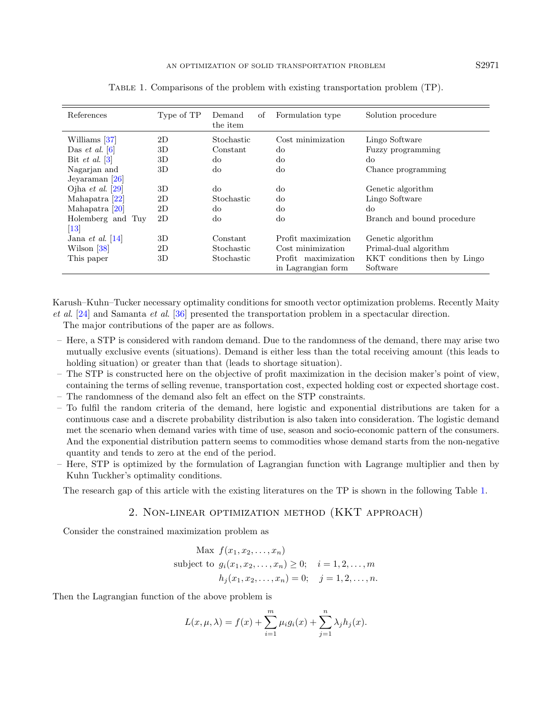| References                         | Type of TP | οf<br>Demand<br>the item | Formulation type    | Solution procedure           |  |
|------------------------------------|------------|--------------------------|---------------------|------------------------------|--|
| Williams [37]                      | 2D         | Stochastic               | Cost minimization   | Lingo Software               |  |
| Das <i>et al.</i> $\boxed{6}$      | 3D         | Constant                 | $d\sigma$           | Fuzzy programming            |  |
| Bit <i>et al.</i> $\left 3\right $ | 3D         | $d\sigma$                | $d\sigma$           | $d\sigma$                    |  |
| Nagarjan and                       | 3D         | $d\sigma$                | $d\sigma$           | Chance programming           |  |
| Jeyaraman $[26]$                   |            |                          |                     |                              |  |
| Ojha <i>et al.</i> $ 29 $          | 3D         | do                       | $d\sigma$           | Genetic algorithm            |  |
| Mahapatra [22]                     | 2D         | Stochastic               | $d\sigma$           | Lingo Software               |  |
| Mahapatra [20]                     | 2D         | $d\sigma$                | $d\sigma$           | $d\sigma$                    |  |
| Holemberg and Tuy                  | 2D         | $d\sigma$                | $d\sigma$           | Branch and bound procedure   |  |
| $\vert 13 \vert$                   |            |                          |                     |                              |  |
| Jana et al. $[14]$                 | 3D         | Constant                 | Profit maximization | Genetic algorithm            |  |
| Wilson [38]                        | 2D         | Stochastic               | Cost minimization   | Primal-dual algorithm        |  |
| This paper                         | 3D         | Stochastic               | Profit maximization | KKT conditions then by Lingo |  |
|                                    |            |                          | in Lagrangian form  | Software                     |  |

<span id="page-2-0"></span>Table 1. Comparisons of the problem with existing transportation problem (TP).

Karush–Kuhn–Tucker necessary optimality conditions for smooth vector optimization problems. Recently Maity et al. [\[24\]](#page-12-30) and Samanta et al. [\[36\]](#page-13-6) presented the transportation problem in a spectacular direction.

The major contributions of the paper are as follows.

- Here, a STP is considered with random demand. Due to the randomness of the demand, there may arise two mutually exclusive events (situations). Demand is either less than the total receiving amount (this leads to holding situation) or greater than that (leads to shortage situation).
- The STP is constructed here on the objective of profit maximization in the decision maker's point of view, containing the terms of selling revenue, transportation cost, expected holding cost or expected shortage cost. – The randomness of the demand also felt an effect on the STP constraints.
- To fulfil the random criteria of the demand, here logistic and exponential distributions are taken for a continuous case and a discrete probability distribution is also taken into consideration. The logistic demand met the scenario when demand varies with time of use, season and socio-economic pattern of the consumers. And the exponential distribution pattern seems to commodities whose demand starts from the non-negative quantity and tends to zero at the end of the period.
- Here, STP is optimized by the formulation of Lagrangian function with Lagrange multiplier and then by Kuhn Tuckher's optimality conditions.

The research gap of this article with the existing literatures on the TP is shown in the following Table [1.](#page-2-0)

# 2. Non-linear optimization method (KKT approach)

Consider the constrained maximization problem as

Max 
$$
f(x_1, x_2,...,x_n)
$$
  
subject to  $g_i(x_1, x_2,...,x_n) \ge 0$ ;  $i = 1, 2,..., m$   
 $h_j(x_1, x_2,...,x_n) = 0$ ;  $j = 1, 2,..., n$ .

Then the Lagrangian function of the above problem is

$$
L(x, \mu, \lambda) = f(x) + \sum_{i=1}^{m} \mu_i g_i(x) + \sum_{j=1}^{n} \lambda_j h_j(x).
$$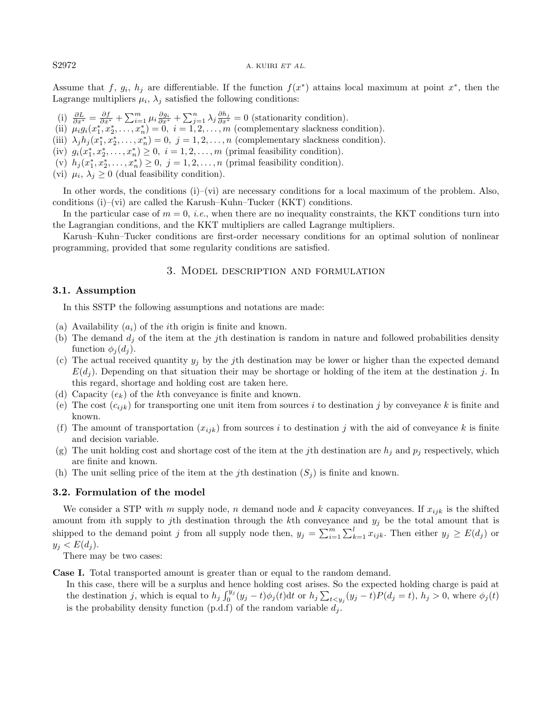Assume that f,  $g_i$ ,  $h_j$  are differentiable. If the function  $f(x^*)$  attains local maximum at point  $x^*$ , then the Lagrange multipliers  $\mu_i$ ,  $\lambda_j$  satisfied the following conditions:

- (i)  $\frac{\partial L}{\partial x^*} = \frac{\partial f}{\partial x^*} + \sum_{i=1}^m \mu_i \frac{\partial g_i}{\partial x^*} + \sum_{j=1}^n \lambda_j \frac{\partial h_j}{\partial x^*} = 0$  (stationarity condition).
- (ii)  $\mu_i g_i(x_1^*, x_2^*, \dots, x_n^*) = 0, \ i = 1, 2, \dots, m$  (complementary slackness condition).
- (iii)  $\lambda_j h_j(x_1^*, x_2^*, \dots, x_n^*) = 0, \ j = 1, 2, \dots, n$  (complementary slackness condition).
- (iv)  $g_i(x_1^*, x_2^*, \ldots, x_n^*) \geq 0$ ,  $i = 1, 2, \ldots, m$  (primal feasibility condition).
- (v)  $h_j(x_1^*, x_2^*, \ldots, x_n^*) \geq 0$ ,  $j = 1, 2, \ldots, n$  (primal feasibility condition).
- (vi)  $\mu_i, \lambda_j \geq 0$  (dual feasibility condition).

In other words, the conditions  $(i)$ –(vi) are necessary conditions for a local maximum of the problem. Also, conditions  $(i)$ – $(vi)$  are called the Karush–Kuhn–Tucker (KKT) conditions.

In the particular case of  $m = 0$ , *i.e.*, when there are no inequality constraints, the KKT conditions turn into the Lagrangian conditions, and the KKT multipliers are called Lagrange multipliers.

Karush–Kuhn–Tucker conditions are first-order necessary conditions for an optimal solution of nonlinear programming, provided that some regularity conditions are satisfied.

## 3. Model description and formulation

#### 3.1. Assumption

In this SSTP the following assumptions and notations are made:

- (a) Availability  $(a_i)$  of the *i*th origin is finite and known.
- (b) The demand  $d_i$  of the item at the j<sup>th</sup> destination is random in nature and followed probabilities density function  $\phi_i(d_i)$ .
- (c) The actual received quantity  $y_j$  by the jth destination may be lower or higher than the expected demand  $E(d_i)$ . Depending on that situation their may be shortage or holding of the item at the destination j. In this regard, shortage and holding cost are taken here.
- (d) Capacity  $(e_k)$  of the kth conveyance is finite and known.
- (e) The cost  $(c_{ijk})$  for transporting one unit item from sources i to destination j by conveyance k is finite and known.
- (f) The amount of transportation  $(x_{ijk})$  from sources i to destination j with the aid of conveyance k is finite and decision variable.
- (g) The unit holding cost and shortage cost of the item at the jth destination are  $h_j$  and  $p_j$  respectively, which are finite and known.
- (h) The unit selling price of the item at the jth destination  $(S_i)$  is finite and known.

## 3.2. Formulation of the model

We consider a STP with m supply node, n demand node and k capacity conveyances. If  $x_{ijk}$  is the shifted amount from ith supply to jth destination through the kth conveyance and  $y_j$  be the total amount that is shipped to the demand point j from all supply node then,  $y_j = \sum_{i=1}^m \sum_{k=1}^l x_{ijk}$ . Then either  $y_j \ge E(d_j)$  or  $y_j < E(d_j)$ .

There may be two cases:

Case I. Total transported amount is greater than or equal to the random demand.

In this case, there will be a surplus and hence holding cost arises. So the expected holding charge is paid at the destination j, which is equal to  $h_j \int_0^{y_j} (y_j - t) \phi_j(t) dt$  or  $h_j \sum_{t \le y_j} (y_j - t) P(d_j = t)$ ,  $h_j > 0$ , where  $\phi_j(t)$ is the probability density function  $(p.d.f)$  of the random variable  $d_j$ .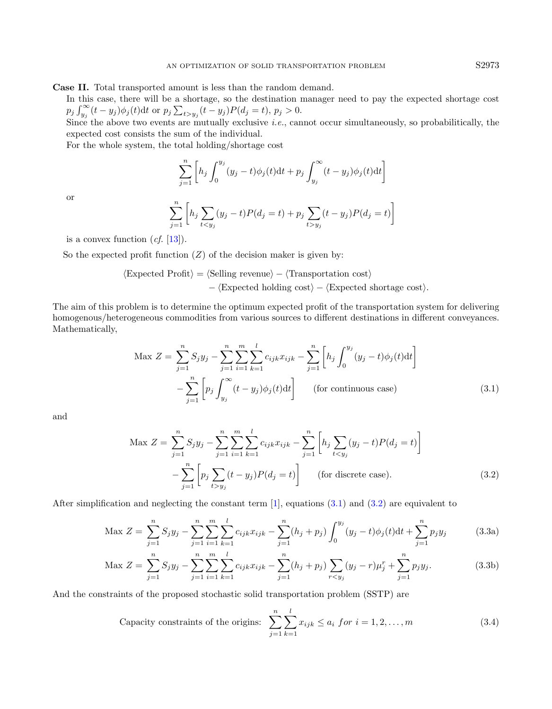Case II. Total transported amount is less than the random demand.

In this case, there will be a shortage, so the destination manager need to pay the expected shortage cost  $p_j \int_{y_j}^{\infty} (t - y_j) \phi_j(t) dt$  or  $p_j \sum_{t > y_j} (t - y_j) P(d_j = t)$ ,  $p_j > 0$ .

Since the above two events are mutually exclusive *i.e.*, cannot occur simultaneously, so probabilitically, the expected cost consists the sum of the individual.

For the whole system, the total holding/shortage cost

<span id="page-4-0"></span>
$$
\sum_{j=1}^{n} \left[ h_j \int_0^{y_j} (y_j - t) \phi_j(t) dt + p_j \int_{y_j}^{\infty} (t - y_j) \phi_j(t) dt \right]
$$

or

<span id="page-4-1"></span>
$$
\sum_{j=1}^{n} \left[ h_j \sum_{t < y_j} (y_j - t) P(d_j = t) + p_j \sum_{t > y_j} (t - y_j) P(d_j = t) \right]
$$

is a convex function  $(cf. [13])$  $(cf. [13])$  $(cf. [13])$ .

So the expected profit function  $(Z)$  of the decision maker is given by:

$$
\langle Expected Profit \rangle = \langle Selling revenue \rangle - \langle Transportation cost \rangle
$$

$$
- \langle Expected holding cost \rangle - \langle Expected shortage cost \rangle.
$$

The aim of this problem is to determine the optimum expected profit of the transportation system for delivering homogenous/heterogeneous commodities from various sources to different destinations in different conveyances. Mathematically,

$$
\text{Max } Z = \sum_{j=1}^{n} S_j y_j - \sum_{j=1}^{n} \sum_{i=1}^{m} \sum_{k=1}^{l} c_{ijk} x_{ijk} - \sum_{j=1}^{n} \left[ h_j \int_0^{y_j} (y_j - t) \phi_j(t) \, \mathrm{d}t \right] - \sum_{j=1}^{n} \left[ p_j \int_{y_j}^{\infty} (t - y_j) \phi_j(t) \, \mathrm{d}t \right] \qquad \text{(for continuous case)} \tag{3.1}
$$

and

<span id="page-4-2"></span>
$$
\text{Max } Z = \sum_{j=1}^{n} S_j y_j - \sum_{j=1}^{n} \sum_{i=1}^{m} \sum_{k=1}^{l} c_{ijk} x_{ijk} - \sum_{j=1}^{n} \left[ h_j \sum_{t < y_j} (y_j - t) P(d_j = t) \right] - \sum_{j=1}^{n} \left[ p_j \sum_{t > y_j} (t - y_j) P(d_j = t) \right] \quad \text{(for discrete case)}.
$$
\n
$$
(3.2)
$$

After simplification and neglecting the constant term  $[1]$ , equations  $(3.1)$  and  $(3.2)$  are equivalent to

$$
\text{Max } Z = \sum_{j=1}^{n} S_j y_j - \sum_{j=1}^{n} \sum_{i=1}^{m} \sum_{k=1}^{l} c_{ijk} x_{ijk} - \sum_{j=1}^{n} (h_j + p_j) \int_0^{y_j} (y_j - t) \phi_j(t) dt + \sum_{j=1}^{n} p_j y_j \tag{3.3a}
$$

$$
\text{Max } Z = \sum_{j=1}^{n} S_j y_j - \sum_{j=1}^{n} \sum_{i=1}^{m} \sum_{k=1}^{l} c_{ijk} x_{ijk} - \sum_{j=1}^{n} (h_j + p_j) \sum_{r < y_j} (y_j - r) \mu_j^r + \sum_{j=1}^{n} p_j y_j. \tag{3.3b}
$$

And the constraints of the proposed stochastic solid transportation problem (SSTP) are

Capacity constraints of the origins: 
$$
\sum_{j=1}^{n} \sum_{k=1}^{l} x_{ijk} \le a_i \text{ for } i = 1, 2, ..., m
$$
 (3.4)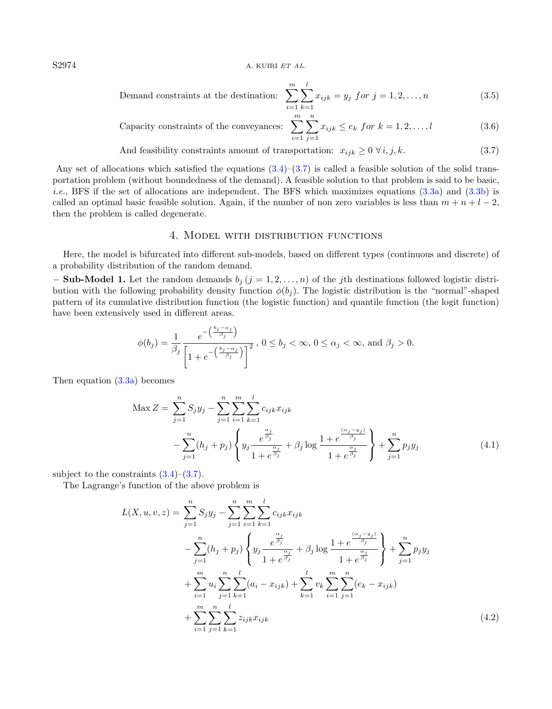$S2974$  A. KUIRI ET AL.

<span id="page-5-0"></span>Demand constraints at the destination: 
$$
\sum_{i=1}^{m} \sum_{k=1}^{l} x_{ijk} = y_j \text{ for } j = 1, 2, ..., n
$$
 (3.5)

Capacity constraints of the convexances: 
$$
\sum_{i=1}^{m} \sum_{j=1}^{n} x_{ijk} \le e_k \text{ for } k = 1, 2, ..., l
$$
 (3.6)

And feasibility constraints amount of transportation:  $x_{ijk} \geq 0 \,\forall i, j, k.$  (3.7)

Any set of allocations which satisfied the equations  $(3.4)$ – $(3.7)$  is called a feasible solution of the solid transportation problem (without boundedness of the demand). A feasible solution to that problem is said to be basic, *i.e.*, BFS if the set of allocations are independent. The BFS which maximizes equations  $(3.3a)$  and  $(3.3b)$  is called an optimal basic feasible solution. Again, if the number of non zero variables is less than  $m + n + l - 2$ , then the problem is called degenerate.

## <span id="page-5-2"></span>4. Model with distribution functions

Here, the model is bifurcated into different sub-models, based on different types (continuous and discrete) of a probability distribution of the random demand.

**- Sub-Model 1.** Let the random demands  $b_j$  ( $j = 1, 2, ..., n$ ) of the j<sup>th</sup> destinations followed logistic distribution with the following probability density function  $\phi(b_j)$ . The logistic distribution is the "normal"-shaped pattern of its cumulative distribution function (the logistic function) and quantile function (the logit function) have been extensively used in different areas.

$$
\phi(b_j) = \frac{1}{\beta_j} \frac{e^{-\left(\frac{b_j - \alpha_j}{\beta_j}\right)}}{\left[1 + e^{-\left(\frac{b_j - \alpha_j}{\beta_j}\right)}\right]^2}, 0 \le b_j < \infty, 0 \le \alpha_j < \infty, \text{ and } \beta_j > 0.
$$

Then equation [\(3.3a\)](#page-4-0) becomes

$$
\text{Max } Z = \sum_{j=1}^{n} S_j y_j - \sum_{j=1}^{n} \sum_{i=1}^{m} \sum_{k=1}^{l} c_{ijk} x_{ijk} \n- \sum_{j=1}^{n} (h_j + p_j) \left\{ y_j \frac{e^{\frac{\alpha_j}{\beta_j}}}{1 + e^{\frac{\alpha_j}{\beta_j}}} + \beta_j \log \frac{1 + e^{\frac{(\alpha_j - y_j)}{\beta_j}}}{1 + e^{\frac{\alpha_j}{\beta_j}}} \right\} + \sum_{j=1}^{n} p_j y_j
$$
\n(4.1)

subject to the constraints  $(3.4)$ – $(3.7)$ .

The Lagrange's function of the above problem is

<span id="page-5-1"></span>
$$
L(X, u, v, z) = \sum_{j=1}^{n} S_j y_j - \sum_{j=1}^{n} \sum_{i=1}^{m} \sum_{k=1}^{l} c_{ijk} x_{ijk}
$$
  

$$
- \sum_{j=1}^{n} (h_j + p_j) \left\{ y_j \frac{e^{\frac{\alpha_j}{\beta_j}}}{1 + e^{\frac{\alpha_j}{\beta_j}}} + \beta_j \log \frac{1 + e^{\frac{(\alpha_j - y_j)}{\beta_j}}}{1 + e^{\frac{\alpha_j}{\beta_j}}} \right\} + \sum_{j=1}^{n} p_j y_j
$$
  

$$
+ \sum_{i=1}^{m} u_i \sum_{j=1}^{n} \sum_{k=1}^{l} (a_i - x_{ijk}) + \sum_{k=1}^{l} v_k \sum_{i=1}^{m} \sum_{j=1}^{n} (e_k - x_{ijk})
$$
  

$$
+ \sum_{i=1}^{m} \sum_{j=1}^{n} \sum_{k=1}^{l} z_{ijk} x_{ijk}
$$
(4.2)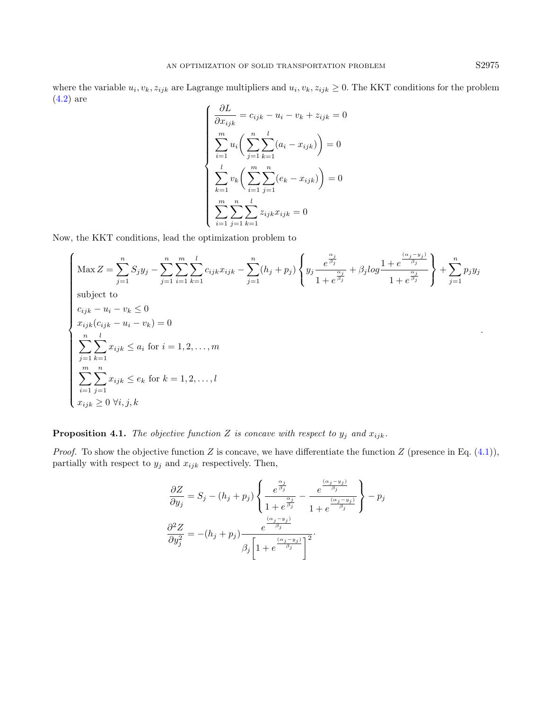where the variable  $u_i, v_k, z_{ijk}$  are Lagrange multipliers and  $u_i, v_k, z_{ijk} \ge 0$ . The KKT conditions for the problem [\(4.2\)](#page-5-1) are

$$
\begin{cases}\n\frac{\partial L}{\partial x_{ijk}} = c_{ijk} - u_i - v_k + z_{ijk} = 0 \\
\sum_{i=1}^{m} u_i \left( \sum_{j=1}^{n} \sum_{k=1}^{l} (a_i - x_{ijk}) \right) = 0 \\
\sum_{k=1}^{l} v_k \left( \sum_{i=1}^{m} \sum_{j=1}^{n} (e_k - x_{ijk}) \right) = 0 \\
\sum_{i=1}^{m} \sum_{j=1}^{n} \sum_{k=1}^{l} z_{ijk} x_{ijk} = 0\n\end{cases}
$$

Now, the KKT conditions, lead the optimization problem to

$$
\begin{cases}\n\text{Max } Z = \sum_{j=1}^{n} S_j y_j - \sum_{j=1}^{n} \sum_{i=1}^{m} \sum_{k=1}^{l} c_{ijk} x_{ijk} - \sum_{j=1}^{n} (h_j + p_j) \left\{ y_j \frac{e^{\frac{\alpha_j}{\beta_j}}}{1 + e^{\frac{\alpha_j}{\beta_j}}} + \beta_j log \frac{1 + e^{\frac{(\alpha_j - y_j)}{\beta_j}}}{1 + e^{\frac{\alpha_j}{\beta_j}}} \right\} + \sum_{j=1}^{n} p_j y_j \\
\text{subject to} \\
c_{ijk} - u_i - v_k \le 0 \\
x_{ijk} (c_{ijk} - u_i - v_k) = 0 \\
\sum_{j=1}^{n} \sum_{k=1}^{l} x_{ijk} \le a_i \text{ for } i = 1, 2, ..., m \\
\sum_{i=1}^{m} \sum_{j=1}^{n} x_{ijk} \le e_k \text{ for } k = 1, 2, ..., l \\
x_{ijk} \ge 0 \ \forall i, j, k\n\end{cases}
$$

**Proposition 4.1.** The objective function Z is concave with respect to  $y_j$  and  $x_{ijk}$ .

*Proof.* To show the objective function Z is concave, we have differentiate the function Z (presence in Eq.  $(4.1)$ ), partially with respect to  $y_j$  and  $x_{ijk}$  respectively. Then,

$$
\frac{\partial Z}{\partial y_j} = S_j - (h_j + p_j) \left\{ \frac{e^{\frac{\alpha_j}{\beta_j}}}{1 + e^{\frac{\alpha_j}{\beta_j}}} - \frac{e^{\frac{(\alpha_j - y_j)}{\beta_j}}}{1 + e^{\frac{(\alpha_j - y_j)}{\beta_j}}} \right\} - p_j
$$

$$
\frac{\partial^2 Z}{\partial y_j^2} = -(h_j + p_j) \frac{e^{\frac{(\alpha_j - y_j)}{\beta_j}}}{\beta_j \left[ 1 + e^{\frac{(\alpha_j - y_j)}{\beta_j}} \right]^2}.
$$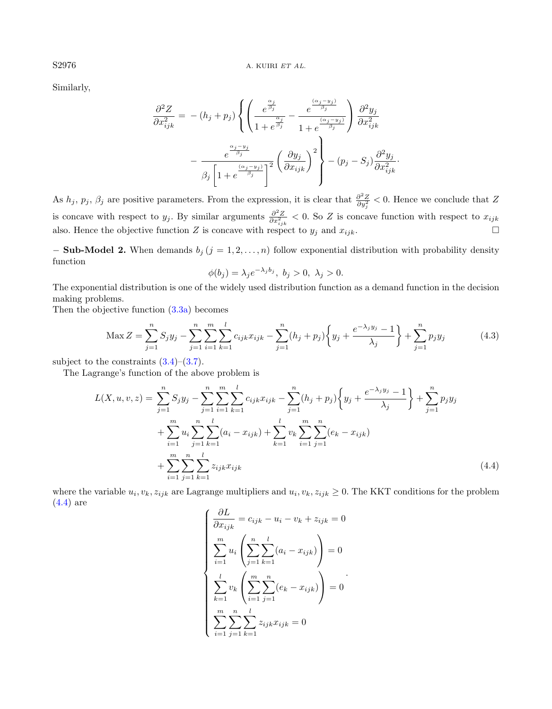Similarly,

$$
\frac{\partial^2 Z}{\partial x_{ijk}^2} = -(h_j + p_j) \left\{ \left( \frac{e^{\frac{\alpha_j}{\beta_j}}}{1 + e^{\frac{\alpha_j}{\beta_j}}} - \frac{e^{\frac{(\alpha_j - y_j)}{\beta_j}}}{1 + e^{\frac{(\alpha_j - y_j)}{\beta_j}}} \right) \frac{\partial^2 y_j}{\partial x_{ijk}^2} - \frac{e^{\frac{\alpha_j - y_j}{\beta_j}}}{\beta_j \left[ 1 + e^{\frac{(\alpha_j - y_j)}{\beta_j}} \right]^2} \left( \frac{\partial y_j}{\partial x_{ijk}} \right)^2 \right\} - (p_j - S_j) \frac{\partial^2 y_j}{\partial x_{ijk}^2}.
$$

As  $h_j$ ,  $p_j$ ,  $\beta_j$  are positive parameters. From the expression, it is clear that  $\frac{\partial^2 Z}{\partial y_j^2} < 0$ . Hence we conclude that Z is concave with respect to  $y_j$ . By similar arguments  $\frac{\partial^2 Z}{\partial x_{ijk}^2}$  < 0. So Z is concave function with respect to  $x_{ijk}$ also. Hence the objective function Z is concave with respect to  $y_j$  and  $x_{ijk}$ .

**- Sub-Model 2.** When demands  $b_j$  ( $j = 1, 2, ..., n$ ) follow exponential distribution with probability density function

<span id="page-7-0"></span>
$$
\phi(b_j) = \lambda_j e^{-\lambda_j b_j}, \ b_j > 0, \ \lambda_j > 0.
$$

The exponential distribution is one of the widely used distribution function as a demand function in the decision making problems.

Then the objective function [\(3.3a\)](#page-4-0) becomes

$$
\text{Max } Z = \sum_{j=1}^{n} S_j y_j - \sum_{j=1}^{n} \sum_{i=1}^{m} \sum_{k=1}^{l} c_{ijk} x_{ijk} - \sum_{j=1}^{n} (h_j + p_j) \left\{ y_j + \frac{e^{-\lambda_j y_j} - 1}{\lambda_j} \right\} + \sum_{j=1}^{n} p_j y_j \tag{4.3}
$$

subject to the constraints  $(3.4)$ – $(3.7)$ .

The Lagrange's function of the above problem is

<span id="page-7-1"></span>
$$
L(X, u, v, z) = \sum_{j=1}^{n} S_j y_j - \sum_{j=1}^{n} \sum_{i=1}^{m} \sum_{k=1}^{l} c_{ijk} x_{ijk} - \sum_{j=1}^{n} (h_j + p_j) \left\{ y_j + \frac{e^{-\lambda_j y_j} - 1}{\lambda_j} \right\} + \sum_{j=1}^{n} p_j y_j
$$
  
+ 
$$
\sum_{i=1}^{m} u_i \sum_{j=1}^{n} \sum_{k=1}^{l} (a_i - x_{ijk}) + \sum_{k=1}^{l} v_k \sum_{i=1}^{m} \sum_{j=1}^{n} (e_k - x_{ijk})
$$
  
+ 
$$
\sum_{i=1}^{m} \sum_{j=1}^{n} \sum_{k=1}^{l} z_{ijk} x_{ijk}
$$
(4.4)

where the variable  $u_i, v_k, z_{ijk}$  are Lagrange multipliers and  $u_i, v_k, z_{ijk} \ge 0$ . The KKT conditions for the problem [\(4.4\)](#page-7-0) are

$$
\begin{cases}\n\frac{\partial L}{\partial x_{ijk}} = c_{ijk} - u_i - v_k + z_{ijk} = 0 \\
\sum_{i=1}^{m} u_i \left( \sum_{j=1}^{n} \sum_{k=1}^{l} (a_i - x_{ijk}) \right) = 0 \\
\sum_{k=1}^{l} v_k \left( \sum_{i=1}^{m} \sum_{j=1}^{n} (e_k - x_{ijk}) \right) = 0 \\
\sum_{i=1}^{m} \sum_{j=1}^{n} \sum_{k=1}^{l} z_{ijk} x_{ijk} = 0\n\end{cases}
$$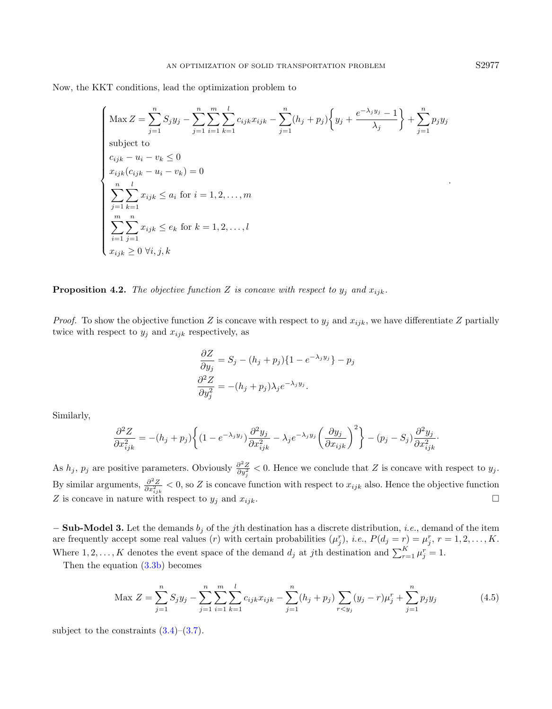Now, the KKT conditions, lead the optimization problem to

$$
\begin{cases}\n\max Z = \sum_{j=1}^{n} S_j y_j - \sum_{j=1}^{n} \sum_{i=1}^{m} \sum_{k=1}^{l} c_{ijk} x_{ijk} - \sum_{j=1}^{n} (h_j + p_j) \left\{ y_j + \frac{e^{-\lambda_j y_j} - 1}{\lambda_j} \right\} + \sum_{j=1}^{n} p_j y_j \\
\text{subject to} \\
c_{ijk} - u_i - v_k \le 0 \\
x_{ijk} (c_{ijk} - u_i - v_k) = 0 \\
\sum_{j=1}^{n} \sum_{k=1}^{l} x_{ijk} \le a_i \text{ for } i = 1, 2, ..., m \\
\sum_{i=1}^{m} \sum_{j=1}^{n} x_{ijk} \le e_k \text{ for } k = 1, 2, ..., l \\
x_{ijk} \ge 0 \ \forall i, j, k\n\end{cases}.
$$

**Proposition 4.2.** The objective function Z is concave with respect to  $y_j$  and  $x_{ijk}$ .

*Proof.* To show the objective function Z is concave with respect to  $y_j$  and  $x_{ijk}$ , we have differentiate Z partially twice with respect to  $y_j$  and  $x_{ijk}$  respectively, as

$$
\frac{\partial Z}{\partial y_j} = S_j - (h_j + p_j) \{ 1 - e^{-\lambda_j y_j} \} - p_j
$$

$$
\frac{\partial^2 Z}{\partial y_j^2} = -(h_j + p_j) \lambda_j e^{-\lambda_j y_j}.
$$

Similarly,

$$
\frac{\partial^2 Z}{\partial x_{ijk}^2} = -(h_j + p_j) \left\{ (1 - e^{-\lambda_j y_j}) \frac{\partial^2 y_j}{\partial x_{ijk}^2} - \lambda_j e^{-\lambda_j y_j} \left( \frac{\partial y_j}{\partial x_{ijk}} \right)^2 \right\} - (p_j - S_j) \frac{\partial^2 y_j}{\partial x_{ijk}^2}.
$$

As  $h_j$ ,  $p_j$  are positive parameters. Obviously  $\frac{\partial^2 Z}{\partial y_j^2} < 0$ . Hence we conclude that Z is concave with respect to  $y_j$ . By similar arguments,  $\frac{\partial^2 Z}{\partial x_{ijk}^2}$  < 0, so Z is concave function with respect to  $x_{ijk}$  also. Hence the objective function Z is concave in nature with respect to  $y_j$  and  $x_{ijk}$ .

 $-$  Sub-Model 3. Let the demands  $b_j$  of the jth destination has a discrete distribution, *i.e.*, demand of the item are frequently accept some real values (*r*) with certain probabilities  $(\mu_j^r)$ , *i.e.*,  $P(d_j = r) = \mu_j^r$ ,  $r = 1, 2, ..., K$ . Where  $1, 2, ..., K$  denotes the event space of the demand  $d_j$  at jth destination and  $\sum_{r=1}^{K} \mu_j^r = 1$ .

Then the equation [\(3.3b\)](#page-4-1) becomes

$$
\text{Max } Z = \sum_{j=1}^{n} S_j y_j - \sum_{j=1}^{n} \sum_{i=1}^{m} \sum_{k=1}^{l} c_{ijk} x_{ijk} - \sum_{j=1}^{n} (h_j + p_j) \sum_{r < y_j} (y_j - r) \mu_j^r + \sum_{j=1}^{n} p_j y_j \tag{4.5}
$$

subject to the constraints  $(3.4)$ – $(3.7)$ .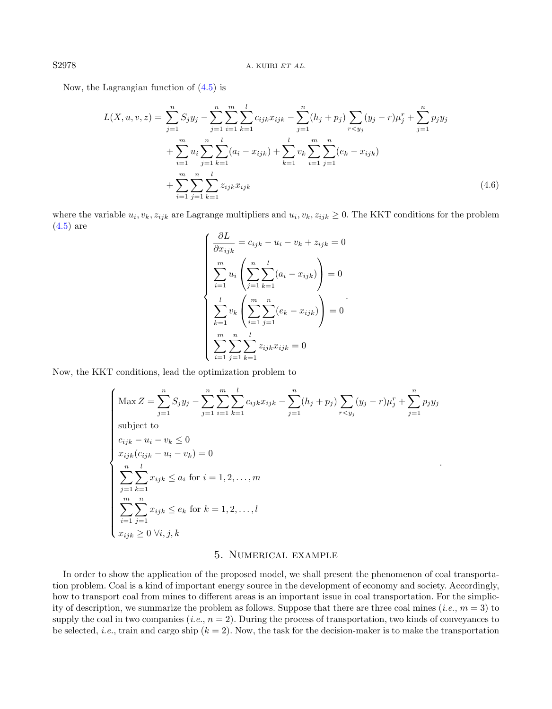Now, the Lagrangian function of [\(4.5\)](#page-7-1) is

$$
L(X, u, v, z) = \sum_{j=1}^{n} S_j y_j - \sum_{j=1}^{n} \sum_{i=1}^{m} \sum_{k=1}^{l} c_{ijk} x_{ijk} - \sum_{j=1}^{n} (h_j + p_j) \sum_{r < y_j} (y_j - r) \mu_j^r + \sum_{j=1}^{n} p_j y_j
$$
  
+ 
$$
\sum_{i=1}^{m} u_i \sum_{j=1}^{n} \sum_{k=1}^{l} (a_i - x_{ijk}) + \sum_{k=1}^{l} v_k \sum_{i=1}^{m} \sum_{j=1}^{n} (e_k - x_{ijk})
$$
  
+ 
$$
\sum_{i=1}^{m} \sum_{j=1}^{n} \sum_{k=1}^{l} z_{ijk} x_{ijk}
$$
(4.6)

where the variable  $u_i, v_k, z_{ijk}$  are Lagrange multipliers and  $u_i, v_k, z_{ijk} \ge 0$ . The KKT conditions for the problem [\(4.5\)](#page-7-1) are

$$
\begin{cases}\n\frac{\partial L}{\partial x_{ijk}} = c_{ijk} - u_i - v_k + z_{ijk} = 0 \\
\sum_{i=1}^{m} u_i \left( \sum_{j=1}^{n} \sum_{k=1}^{l} (a_i - x_{ijk}) \right) = 0 \\
\sum_{k=1}^{l} v_k \left( \sum_{i=1}^{m} \sum_{j=1}^{n} (e_k - x_{ijk}) \right) = 0 \\
\sum_{i=1}^{m} \sum_{j=1}^{n} \sum_{k=1}^{l} z_{ijk} x_{ijk} = 0\n\end{cases}
$$

Now, the KKT conditions, lead the optimization problem to

$$
\begin{cases}\n\max Z = \sum_{j=1}^{n} S_j y_j - \sum_{j=1}^{n} \sum_{i=1}^{m} \sum_{k=1}^{l} c_{ijk} x_{ijk} - \sum_{j=1}^{n} (h_j + p_j) \sum_{r < y_j} (y_j - r) \mu_j^r + \sum_{j=1}^{n} p_j y_j \\
\text{subject to} \\
c_{ijk} - u_i - v_k \le 0 \\
x_{ijk} (c_{ijk} - u_i - v_k) = 0 \\
\sum_{j=1}^{n} \sum_{k=1}^{l} x_{ijk} \le a_i \text{ for } i = 1, 2, ..., m \\
\sum_{i=1}^{m} \sum_{j=1}^{n} x_{ijk} \le e_k \text{ for } k = 1, 2, ..., l \\
x_{ijk} \ge 0 \ \forall i, j, k\n\end{cases}
$$

# 5. Numerical example

In order to show the application of the proposed model, we shall present the phenomenon of coal transportation problem. Coal is a kind of important energy source in the development of economy and society. Accordingly, how to transport coal from mines to different areas is an important issue in coal transportation. For the simplicity of description, we summarize the problem as follows. Suppose that there are three coal mines (*i.e.*,  $m = 3$ ) to supply the coal in two companies (*i.e.*,  $n = 2$ ). During the process of transportation, two kinds of conveyances to be selected, *i.e.*, train and cargo ship  $(k = 2)$ . Now, the task for the decision-maker is to make the transportation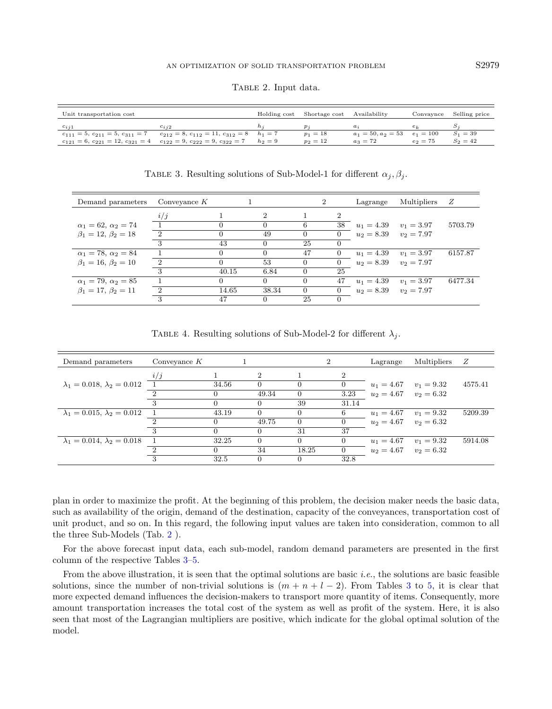<span id="page-10-1"></span><span id="page-10-0"></span>TABLE 2. Input data.

| Unit transportation cost |                                                                                            | Holding cost | Shortage cost Availability |                      | Convavnce   | Selling price |
|--------------------------|--------------------------------------------------------------------------------------------|--------------|----------------------------|----------------------|-------------|---------------|
| $c_{i,i1}$               | $c_{i,i2}$                                                                                 |              |                            | $a_i$                |             |               |
|                          | $c_{111} = 5, c_{211} = 5, c_{311} = 7$ $c_{212} = 8, c_{112} = 11, c_{312} = 8$ $h_1 = 7$ |              | $p_1 = 18$                 | $a_1 = 50, a_2 = 53$ | $e_1 = 100$ | $S_1 = 39$    |
|                          | $c_{121} = 6, c_{221} = 12, c_{321} = 4$ $c_{122} = 9, c_{222} = 9, c_{322} = 7$           | $h_2=9$      | $p_2 = 12$                 | $a_3 = 72$           | $e_2 = 75$  | $S_2 = 42$    |

TABLE 3. Resulting solutions of Sub-Model-1 for different  $\alpha_j, \beta_j$ .

| Demand parameters              | Conveyance $K$ |              |                | 2                |                | Lagrange                     | Multipliers  | - Z     |
|--------------------------------|----------------|--------------|----------------|------------------|----------------|------------------------------|--------------|---------|
|                                | i/j            |              | $\overline{2}$ |                  | $\mathfrak{D}$ |                              |              |         |
| $\alpha_1 = 62, \alpha_2 = 74$ |                | $\cup$       |                | 6                |                | 38 $u_1 = 4.39$ $v_1 = 3.97$ |              | 5703.79 |
| $\beta_1 = 12, \beta_2 = 18$   | - 2            | $\mathbf{0}$ | 49             | $\left( \right)$ | $\Omega$       | $u_2 = 8.39$ $v_2 = 7.97$    |              |         |
|                                | 3              | 43           |                | 25               |                |                              |              |         |
| $\alpha_1 = 78, \alpha_2 = 84$ |                |              |                | 47               | $\Omega$       | $u_1 = 4.39$ $v_1 = 3.97$    |              | 6157.87 |
| $\beta_1 = 16, \beta_2 = 10$   | - 2            | $\Omega$     | 53             | $\Omega$         |                | $u_2 = 8.39$ $v_2 = 7.97$    |              |         |
|                                | 3              | 40.15        | 6.84           | $\Omega$         | 25             |                              |              |         |
| $\alpha_1 = 79, \alpha_2 = 85$ |                | $\Omega$     | 0              | $\Omega$         | 47             | $u_1 = 4.39$                 | $v_1 = 3.97$ | 6477.34 |
| $\beta_1 = 17, \beta_2 = 11$   | $\mathcal{D}$  | 14.65        | 38.34          | $\Omega$         | $\Omega$       | $u_2 = 8.39$ $v_2 = 7.97$    |              |         |
|                                | 3              | 47           | O              | 25               |                |                              |              |         |

TABLE 4. Resulting solutions of Sub-Model-2 for different  $\lambda_j$ .

| Demand parameters                      | Conveyance $K$ |       |                | $\overline{2}$ |       | Lagrange                  | Multipliers  | Ζ       |
|----------------------------------------|----------------|-------|----------------|----------------|-------|---------------------------|--------------|---------|
|                                        | i/j            |       | $\overline{2}$ |                | 2     |                           |              |         |
| $\lambda_1 = 0.018, \lambda_2 = 0.012$ |                | 34.56 | 0              | 0              |       | $u_1 = 4.67$              | $v_1 = 9.32$ | 4575.41 |
|                                        |                |       | 49.34          | $\Omega$       | 3.23  | $u_2 = 4.67$ $v_2 = 6.32$ |              |         |
|                                        |                |       |                | 39             | 31.14 |                           |              |         |
| $\lambda_1 = 0.015, \lambda_2 = 0.012$ |                | 43.19 | $\Omega$       | $\Omega$       | 6     | $u_1 = 4.67$              | $v_1 = 9.32$ | 5209.39 |
|                                        |                |       | 49.75          | $\Omega$       |       | $u_2 = 4.67$ $v_2 = 6.32$ |              |         |
|                                        | 3              |       | $\Omega$       | 31             | 37    |                           |              |         |
| $\lambda_1 = 0.014, \lambda_2 = 0.018$ |                | 32.25 | $\Omega$       | $\Omega$       |       | $u_1 = 4.67$              | $v_1 = 9.32$ | 5914.08 |
|                                        |                |       | 34             | 18.25          |       | $u_2 = 4.67$ $v_2 = 6.32$ |              |         |
|                                        | 3              | 32.5  | $\Omega$       | $\Omega$       | 32.8  |                           |              |         |

plan in order to maximize the profit. At the beginning of this problem, the decision maker needs the basic data, such as availability of the origin, demand of the destination, capacity of the conveyances, transportation cost of unit product, and so on. In this regard, the following input values are taken into consideration, common to all the three Sub-Models (Tab. [2](#page-10-0) ).

For the above forecast input data, each sub-model, random demand parameters are presented in the first column of the respective Tables [3–](#page-10-1)[5.](#page-11-1)

From the above illustration, it is seen that the optimal solutions are basic *i.e.*, the solutions are basic feasible solutions, since the number of non-trivial solutions is  $(m + n + l - 2)$ . From Tables [3](#page-10-1) to [5,](#page-11-1) it is clear that more expected demand influences the decision-makers to transport more quantity of items. Consequently, more amount transportation increases the total cost of the system as well as profit of the system. Here, it is also seen that most of the Lagrangian multipliers are positive, which indicate for the global optimal solution of the model.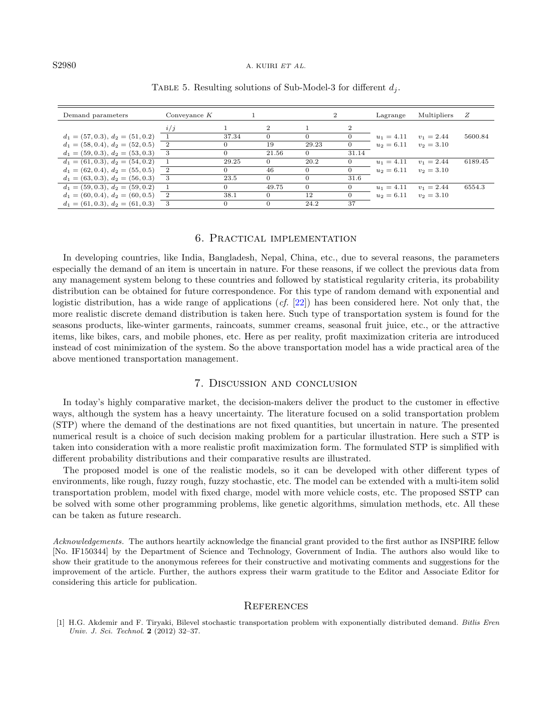#### S2980 A. KUIRI ET AL.

| Demand parameters                  | Conveyance $K$ |       |                |       | $\mathcal{D}$  | Lagrange     | Multipliers  | Ζ       |
|------------------------------------|----------------|-------|----------------|-------|----------------|--------------|--------------|---------|
|                                    | i/j            |       | $\overline{2}$ |       | $\overline{2}$ |              |              |         |
| $d_1 = (57, 0.3), d_2 = (51, 0.2)$ |                | 37.34 |                |       |                | $u_1 = 4.11$ | $v_1 = 2.44$ | 5600.84 |
| $d_1 = (58, 0.4), d_2 = (52, 0.5)$ | $\overline{2}$ |       | 19             | 29.23 |                | $u_2 = 6.11$ | $v_2 = 3.10$ |         |
| $d_1 = (59, 0.3), d_2 = (53, 0.3)$ | 3              |       | 21.56          |       | 31.14          |              |              |         |
| $d_1 = (61, 0.3), d_2 = (54, 0.2)$ |                | 29.25 |                | 20.2  | $\theta$       | $u_1 = 4.11$ | $v_1 = 2.44$ | 6189.45 |
| $d_1 = (62, 0.4), d_2 = (55, 0.5)$ |                |       | 46             |       |                | $u_2 = 6.11$ | $v_2 = 3.10$ |         |
| $d_1 = (63, 0.3), d_2 = (56, 0.3)$ |                | 23.5  |                |       | 31.6           |              |              |         |
| $d_1 = (59, 0.3), d_2 = (59, 0.2)$ |                |       | 49.75          |       | $\Omega$       | $u_1 = 4.11$ | $v_1 = 2.44$ | 6554.3  |
| $d_1 = (60, 0.4), d_2 = (60, 0.5)$ |                | 38.1  |                | 12    | $\Omega$       | $u_2 = 6.11$ | $v_2 = 3.10$ |         |
| $d_1 = (61, 0.3), d_2 = (61, 0.3)$ | 3              |       |                | 24.2  | 37             |              |              |         |

#### <span id="page-11-1"></span>TABLE 5. Resulting solutions of Sub-Model-3 for different  $d_i$ .

# 6. Practical implementation

In developing countries, like India, Bangladesh, Nepal, China, etc., due to several reasons, the parameters especially the demand of an item is uncertain in nature. For these reasons, if we collect the previous data from any management system belong to these countries and followed by statistical regularity criteria, its probability distribution can be obtained for future correspondence. For this type of random demand with exponential and logistic distribution, has a wide range of applications  $(cf. [22])$  $(cf. [22])$  $(cf. [22])$  has been considered here. Not only that, the more realistic discrete demand distribution is taken here. Such type of transportation system is found for the seasons products, like-winter garments, raincoats, summer creams, seasonal fruit juice, etc., or the attractive items, like bikes, cars, and mobile phones, etc. Here as per reality, profit maximization criteria are introduced instead of cost minimization of the system. So the above transportation model has a wide practical area of the above mentioned transportation management.

## 7. Discussion and conclusion

In today's highly comparative market, the decision-makers deliver the product to the customer in effective ways, although the system has a heavy uncertainty. The literature focused on a solid transportation problem (STP) where the demand of the destinations are not fixed quantities, but uncertain in nature. The presented numerical result is a choice of such decision making problem for a particular illustration. Here such a STP is taken into consideration with a more realistic profit maximization form. The formulated STP is simplified with different probability distributions and their comparative results are illustrated.

<span id="page-11-0"></span>The proposed model is one of the realistic models, so it can be developed with other different types of environments, like rough, fuzzy rough, fuzzy stochastic, etc. The model can be extended with a multi-item solid transportation problem, model with fixed charge, model with more vehicle costs, etc. The proposed SSTP can be solved with some other programming problems, like genetic algorithms, simulation methods, etc. All these can be taken as future research.

Acknowledgements. The authors heartily acknowledge the financial grant provided to the first author as INSPIRE fellow [No. IF150344] by the Department of Science and Technology, Government of India. The authors also would like to show their gratitude to the anonymous referees for their constructive and motivating comments and suggestions for the improvement of the article. Further, the authors express their warm gratitude to the Editor and Associate Editor for considering this article for publication.

#### **REFERENCES**

[1] H.G. Akdemir and F. Tiryaki, Bilevel stochastic transportation problem with exponentially distributed demand. Bitlis Eren Univ. J. Sci. Technol. 2 (2012) 32–37.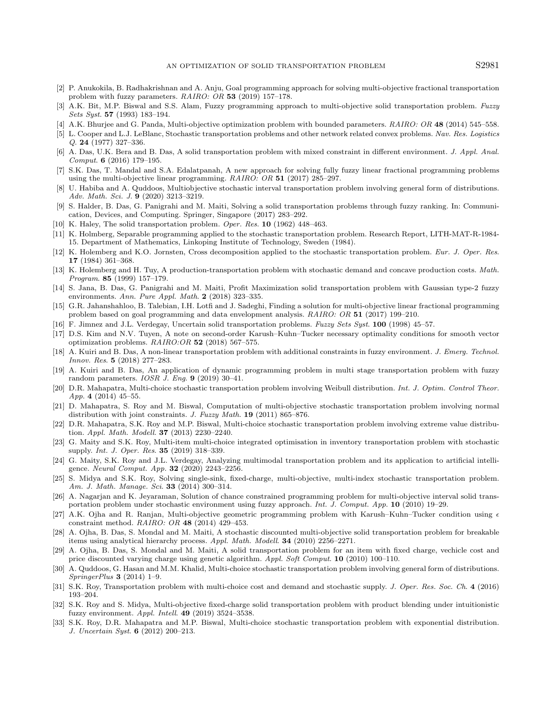- <span id="page-12-18"></span><span id="page-12-16"></span><span id="page-12-14"></span><span id="page-12-12"></span><span id="page-12-10"></span><span id="page-12-8"></span><span id="page-12-6"></span><span id="page-12-2"></span><span id="page-12-0"></span>[2] P. Anukokila, B. Radhakrishnan and A. Anju, Goal programming approach for solving multi-objective fractional transportation problem with fuzzy parameters. RAIRO: OR 53 (2019) 157–178.
- <span id="page-12-4"></span>[3] A.K. Bit, M.P. Biswal and S.S. Alam, Fuzzy programming approach to multi-objective solid transportation problem. Fuzzy Sets Syst. 57 (1993) 183–194.
- [4] A.K. Bhurjee and G. Panda, Multi-objective optimization problem with bounded parameters. RAIRO: OR 48 (2014) 545–558.
- <span id="page-12-5"></span>[5] L. Cooper and L.J. LeBlanc, Stochastic transportation problems and other network related convex problems. Nav. Res. Logistics Q. 24 (1977) 327–336.
- <span id="page-12-11"></span>[6] A. Das, U.K. Bera and B. Das, A solid transportation problem with mixed constraint in different environment. J. Appl. Anal. Comput. 6 (2016) 179–195.
- <span id="page-12-15"></span>[7] S.K. Das, T. Mandal and S.A. Edalatpanah, A new approach for solving fully fuzzy linear fractional programming problems using the multi-objective linear programming. RAIRO: OR 51 (2017) 285–297.
- <span id="page-12-3"></span>[8] U. Habiba and A. Quddoos, Multiobjective stochastic interval transportation problem involving general form of distributions. Adv. Math. Sci. J. 9 (2020) 3213–3219.
- <span id="page-12-29"></span>[9] S. Halder, B. Das, G. Panigrahi and M. Maiti, Solving a solid transportation problems through fuzzy ranking. In: Communication, Devices, and Computing. Springer, Singapore (2017) 283–292.
- <span id="page-12-19"></span>[10] K. Haley, The solid transportation problem. Oper. Res. 10 (1962) 448–463.
- <span id="page-12-20"></span>[11] K. Holmberg, Separable programming applied to the stochastic transportation problem. Research Report, LITH-MAT-R-1984- 15. Department of Mathematics, Linkoping Institute of Technology, Sweden (1984).
- <span id="page-12-25"></span>[12] K. Holemberg and K.O. Jornsten, Cross decomposition applied to the stochastic transportation problem. Eur. J. Oper. Res. 17 (1984) 361–368.
- <span id="page-12-22"></span>[13] K. Holemberg and H. Tuy, A production-transportation problem with stochastic demand and concave production costs. Math. Program. 85 (1999) 157–179.
- <span id="page-12-26"></span>[14] S. Jana, B. Das, G. Panigrahi and M. Maiti, Profit Maximization solid transportation problem with Gaussian type-2 fuzzy environments. Ann. Pure Appl. Math. 2 (2018) 323–335.
- <span id="page-12-23"></span>[15] G.R. Jahanshahloo, B. Talebian, I.H. Lotfi and J. Sadeghi, Finding a solution for multi-objective linear fractional programming problem based on goal programming and data envelopment analysis. RAIRO: OR 51 (2017) 199–210.
- <span id="page-12-30"></span>[16] F. Jimnez and J.L. Verdegay, Uncertain solid transportation problems. Fuzzy Sets Syst. 100 (1998) 45–57.
- [17] D.S. Kim and N.V. Tuyen, A note on second-order Karush–Kuhn–Tucker necessary optimality conditions for smooth vector optimization problems. RAIRO:OR 52 (2018) 567–575.
- <span id="page-12-24"></span>[18] A. Kuiri and B. Das, A non-linear transportation problem with additional constraints in fuzzy environment. J. Emerg. Technol. Innov. Res. 5 (2018) 277–283.
- <span id="page-12-21"></span>[19] A. Kuiri and B. Das, An application of dynamic programming problem in multi stage transportation problem with fuzzy random parameters. IOSR J. Eng. 9 (2019) 30–41.
- <span id="page-12-13"></span>[20] D.R. Mahapatra, Multi-choice stochastic transportation problem involving Weibull distribution. Int. J. Optim. Control Theor. App. 4 (2014) 45–55.
- <span id="page-12-9"></span>[21] D. Mahapatra, S. Roy and M. Biswal, Computation of multi-objective stochastic transportation problem involving normal distribution with joint constraints. J. Fuzzy Math. 19 (2011) 865-876.
- <span id="page-12-1"></span>[22] D.R. Mahapatra, S.K. Roy and M.P. Biswal, Multi-choice stochastic transportation problem involving extreme value distribution. Appl. Math. Modell. 37 (2013) 2230–2240.
- <span id="page-12-7"></span>[23] G. Maity and S.K. Roy, Multi-item multi-choice integrated optimisation in inventory transportation problem with stochastic supply. Int. J. Oper. Res. 35 (2019) 318–339.
- <span id="page-12-27"></span>[24] G. Maity, S.K. Roy and J.L. Verdegay, Analyzing multimodal transportation problem and its application to artificial intelligence. Neural Comput. App. 32 (2020) 2243–2256.
- <span id="page-12-17"></span>[25] S. Midya and S.K. Roy, Solving single-sink, fixed-charge, multi-objective, multi-index stochastic transportation problem. Am. J. Math. Manage. Sci. 33 (2014) 300–314.
- <span id="page-12-28"></span>[26] A. Nagarjan and K. Jeyaraman, Solution of chance constrained programming problem for multi-objective interval solid transportation problem under stochastic environment using fuzzy approach. Int. J. Comput. App. 10 (2010) 19–29.
- [27] A.K. Ojha and R. Ranjan, Multi-objective geometric programming problem with Karush–Kuhn–Tucker condition using constraint method. RAIRO: OR 48 (2014) 429–453.
- [28] A. Ojha, B. Das, S. Mondal and M. Maiti, A stochastic discounted multi-objective solid transportation problem for breakable items using analytical hierarchy process. Appl. Math. Modell. 34 (2010) 2256–2271.
- [29] A. Ojha, B. Das, S. Mondal and M. Maiti, A solid transportation problem for an item with fixed charge, vechicle cost and price discounted varying charge using genetic algorithm. Appl. Soft Comput. 10 (2010) 100–110.
- [30] A. Quddoos, G. Hasan and M.M. Khalid, Multi-choice stochastic transportation problem involving general form of distributions. SpringerPlus 3 (2014) 1–9.
- [31] S.K. Roy, Transportation problem with multi-choice cost and demand and stochastic supply. J. Oper. Res. Soc. Ch. 4 (2016) 193–204.
- [32] S.K. Roy and S. Midya, Multi-objective fixed-charge solid transportation problem with product blending under intuitionistic fuzzy environment. Appl. Intell. 49 (2019) 3524–3538.
- [33] S.K. Roy, D.R. Mahapatra and M.P. Biswal, Multi-choice stochastic transportation problem with exponential distribution. J. Uncertain Syst. 6 (2012) 200–213.